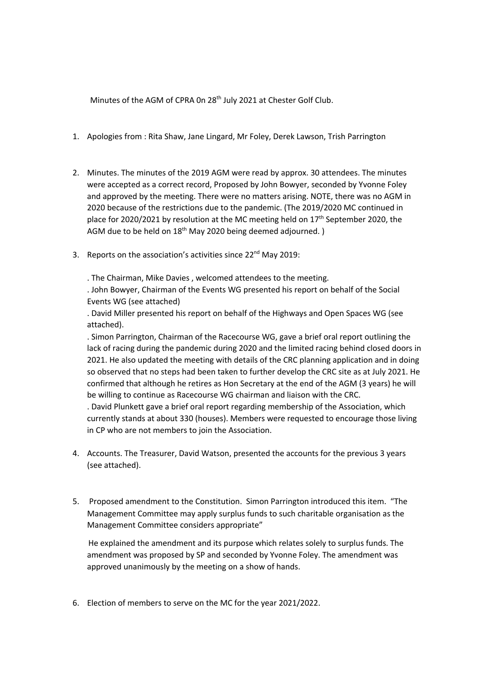Minutes of the AGM of CPRA 0n 28<sup>th</sup> July 2021 at Chester Golf Club.

- 1. Apologies from : Rita Shaw, Jane Lingard, Mr Foley, Derek Lawson, Trish Parrington
- 2. Minutes. The minutes of the 2019 AGM were read by approx. 30 attendees. The minutes were accepted as a correct record, Proposed by John Bowyer, seconded by Yvonne Foley and approved by the meeting. There were no matters arising. NOTE, there was no AGM in 2020 because of the restrictions due to the pandemic. (The 2019/2020 MC continued in place for 2020/2021 by resolution at the MC meeting held on  $17<sup>th</sup>$  September 2020, the AGM due to be held on 18<sup>th</sup> May 2020 being deemed adjourned.)
- 3. Reports on the association's activities since 22<sup>nd</sup> May 2019:

. The Chairman, Mike Davies , welcomed attendees to the meeting.

. John Bowyer, Chairman of the Events WG presented his report on behalf of the Social Events WG (see attached)

. David Miller presented his report on behalf of the Highways and Open Spaces WG (see attached).

. Simon Parrington, Chairman of the Racecourse WG, gave a brief oral report outlining the lack of racing during the pandemic during 2020 and the limited racing behind closed doors in 2021. He also updated the meeting with details of the CRC planning application and in doing so observed that no steps had been taken to further develop the CRC site as at July 2021. He confirmed that although he retires as Hon Secretary at the end of the AGM (3 years) he will be willing to continue as Racecourse WG chairman and liaison with the CRC.

. David Plunkett gave a brief oral report regarding membership of the Association, which currently stands at about 330 (houses). Members were requested to encourage those living in CP who are not members to join the Association.

- 4. Accounts. The Treasurer, David Watson, presented the accounts for the previous 3 years (see attached).
- 5. Proposed amendment to the Constitution. Simon Parrington introduced this item. "The Management Committee may apply surplus funds to such charitable organisation as the Management Committee considers appropriate"

He explained the amendment and its purpose which relates solely to surplus funds. The amendment was proposed by SP and seconded by Yvonne Foley. The amendment was approved unanimously by the meeting on a show of hands.

6. Election of members to serve on the MC for the year 2021/2022.